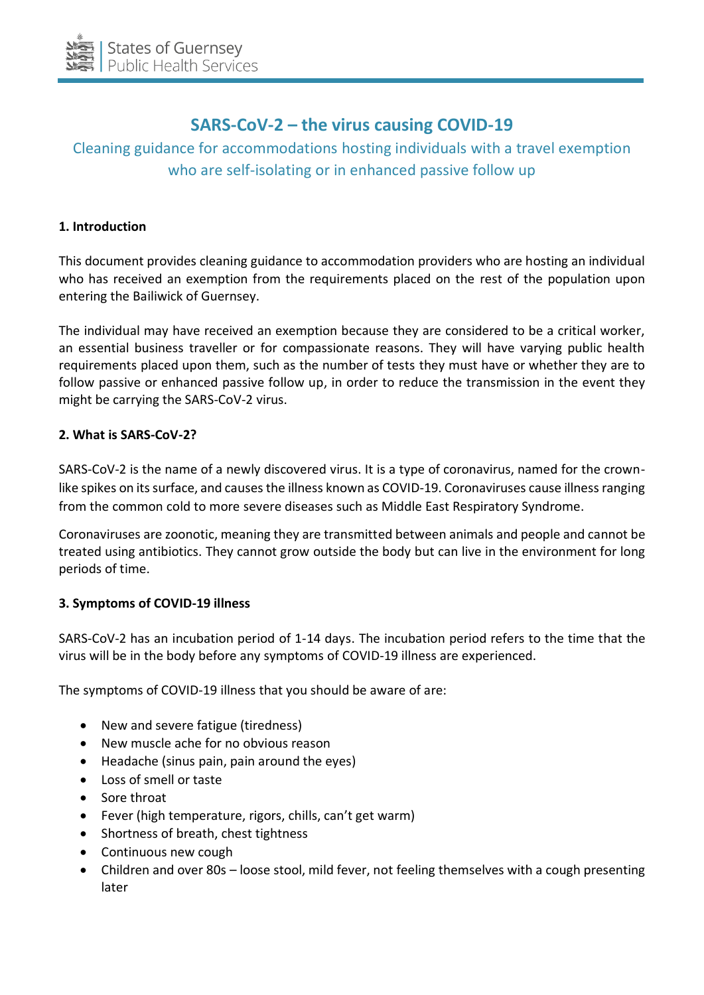

# **SARS-CoV-2 – the virus causing COVID-19**

# Cleaning guidance for accommodations hosting individuals with a travel exemption who are self-isolating or in enhanced passive follow up

## **1. Introduction**

This document provides cleaning guidance to accommodation providers who are hosting an individual who has received an exemption from the requirements placed on the rest of the population upon entering the Bailiwick of Guernsey.

The individual may have received an exemption because they are considered to be a critical worker, an essential business traveller or for compassionate reasons. They will have varying public health requirements placed upon them, such as the number of tests they must have or whether they are to follow passive or enhanced passive follow up, in order to reduce the transmission in the event they might be carrying the SARS-CoV-2 virus.

#### **2. What is SARS-CoV-2?**

SARS-CoV-2 is the name of a newly discovered virus. It is a type of coronavirus, named for the crownlike spikes on its surface, and causes the illness known as COVID-19. Coronaviruses cause illness ranging from the common cold to more severe diseases such as Middle East Respiratory Syndrome.

Coronaviruses are zoonotic, meaning they are transmitted between animals and people and cannot be treated using antibiotics. They cannot grow outside the body but can live in the environment for long periods of time.

# **3. Symptoms of COVID-19 illness**

SARS-CoV-2 has an incubation period of 1-14 days. The incubation period refers to the time that the virus will be in the body before any symptoms of COVID-19 illness are experienced.

The symptoms of COVID-19 illness that you should be aware of are:

- New and severe fatigue (tiredness)
- New muscle ache for no obvious reason
- Headache (sinus pain, pain around the eyes)
- Loss of smell or taste
- Sore throat
- Fever (high temperature, rigors, chills, can't get warm)
- Shortness of breath, chest tightness
- Continuous new cough
- Children and over 80s loose stool, mild fever, not feeling themselves with a cough presenting later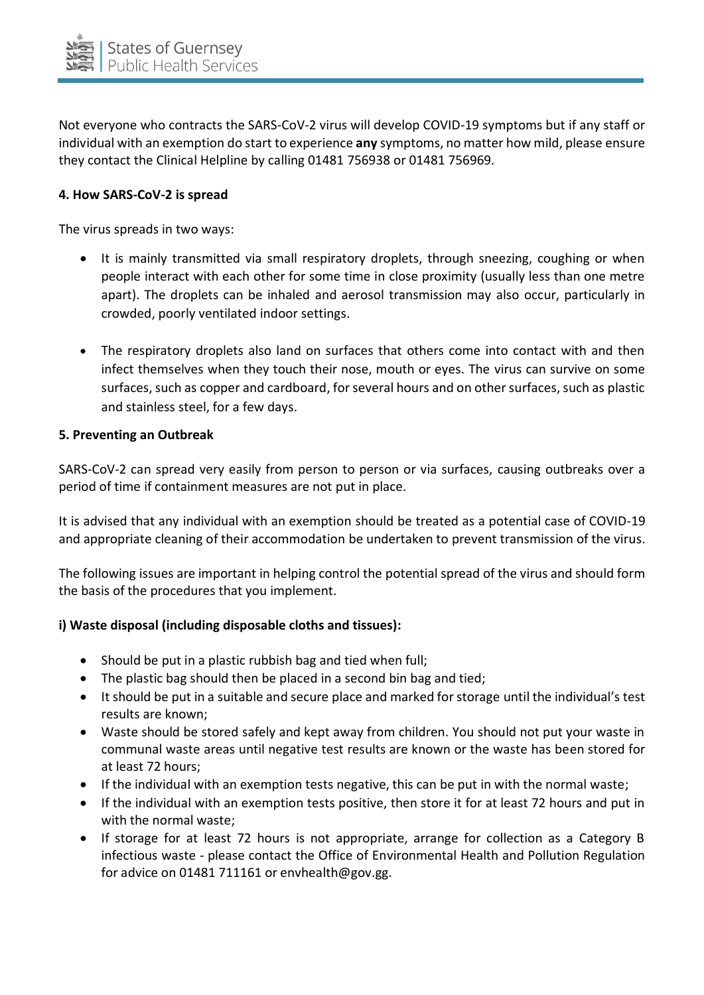

Not everyone who contracts the SARS-CoV-2 virus will develop COVID-19 symptoms but if any staff or individual with an exemption do start to experience **any** symptoms, no matter how mild, please ensure they contact the Clinical Helpline by calling 01481 756938 or 01481 756969.

## **4. How SARS-CoV-2 is spread**

The virus spreads in two ways:

- It is mainly transmitted via small respiratory droplets, through sneezing, coughing or when people interact with each other for some time in close proximity (usually less than one metre apart). The droplets can be inhaled and aerosol transmission may also occur, particularly in crowded, poorly ventilated indoor settings.
- The respiratory droplets also land on surfaces that others come into contact with and then infect themselves when they touch their nose, mouth or eyes. The virus can survive on some surfaces, such as copper and cardboard, for several hours and on other surfaces, such as plastic and stainless steel, for a few days.

#### **5. Preventing an Outbreak**

SARS-CoV-2 can spread very easily from person to person or via surfaces, causing outbreaks over a period of time if containment measures are not put in place.

It is advised that any individual with an exemption should be treated as a potential case of COVID-19 and appropriate cleaning of their accommodation be undertaken to prevent transmission of the virus.

The following issues are important in helping control the potential spread of the virus and should form the basis of the procedures that you implement.

#### **i) Waste disposal (including disposable cloths and tissues):**

- Should be put in a plastic rubbish bag and tied when full;
- The plastic bag should then be placed in a second bin bag and tied;
- It should be put in a suitable and secure place and marked for storage until the individual's test results are known;
- Waste should be stored safely and kept away from children. You should not put your waste in communal waste areas until negative test results are known or the waste has been stored for at least 72 hours;
- If the individual with an exemption tests negative, this can be put in with the normal waste;
- If the individual with an exemption tests positive, then store it for at least 72 hours and put in with the normal waste;
- If storage for at least 72 hours is not appropriate, arrange for collection as a Category B infectious waste - please contact the Office of Environmental Health and Pollution Regulation for advice on 01481 711161 or envhealth@gov.gg.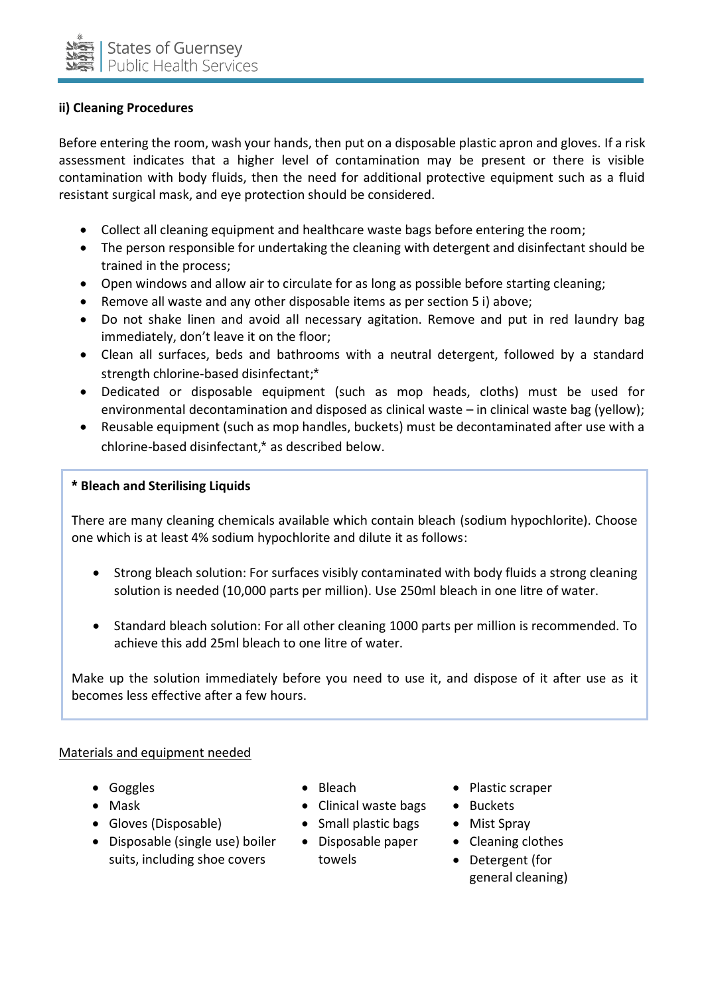

# **ii) Cleaning Procedures**

Before entering the room, wash your hands, then put on a disposable plastic apron and gloves. If a risk assessment indicates that a higher level of contamination may be present or there is visible contamination with body fluids, then the need for additional protective equipment such as a fluid resistant surgical mask, and eye protection should be considered.

- Collect all cleaning equipment and healthcare waste bags before entering the room;
- The person responsible for undertaking the cleaning with detergent and disinfectant should be trained in the process;
- Open windows and allow air to circulate for as long as possible before starting cleaning;
- Remove all waste and any other disposable items as per section 5 i) above;
- Do not shake linen and avoid all necessary agitation. Remove and put in red laundry bag immediately, don't leave it on the floor;
- Clean all surfaces, beds and bathrooms with a neutral detergent, followed by a standard strength chlorine-based disinfectant;\*
- Dedicated or disposable equipment (such as mop heads, cloths) must be used for environmental decontamination and disposed as clinical waste – in clinical waste bag (yellow);
- Reusable equipment (such as mop handles, buckets) must be decontaminated after use with a chlorine-based disinfectant,\* as described below.

#### \* **Bleach and Sterilising Liquids**

There are many cleaning chemicals available which contain bleach (sodium hypochlorite). Choose one which is at least 4% sodium hypochlorite and dilute it as follows:

- Strong bleach solution: For surfaces visibly contaminated with body fluids a strong cleaning solution is needed (10,000 parts per million). Use 250ml bleach in one litre of water.
- Standard bleach solution: For all other cleaning 1000 parts per million is recommended. To achieve this add 25ml bleach to one litre of water.

Make up the solution immediately before you need to use it, and dispose of it after use as it becomes less effective after a few hours.

#### Materials and equipment needed

- 
- 
- Gloves (Disposable) Small plastic bags Mist Spray
- Disposable (single use) boiler suits, including shoe covers
- 
- Mask  **Clinical waste bags** Buckets
	-
	- Disposable paper towels
- Goggles Bleach Plastic scraper
	-
	-
	- Cleaning clothes
	- Detergent (for general cleaning)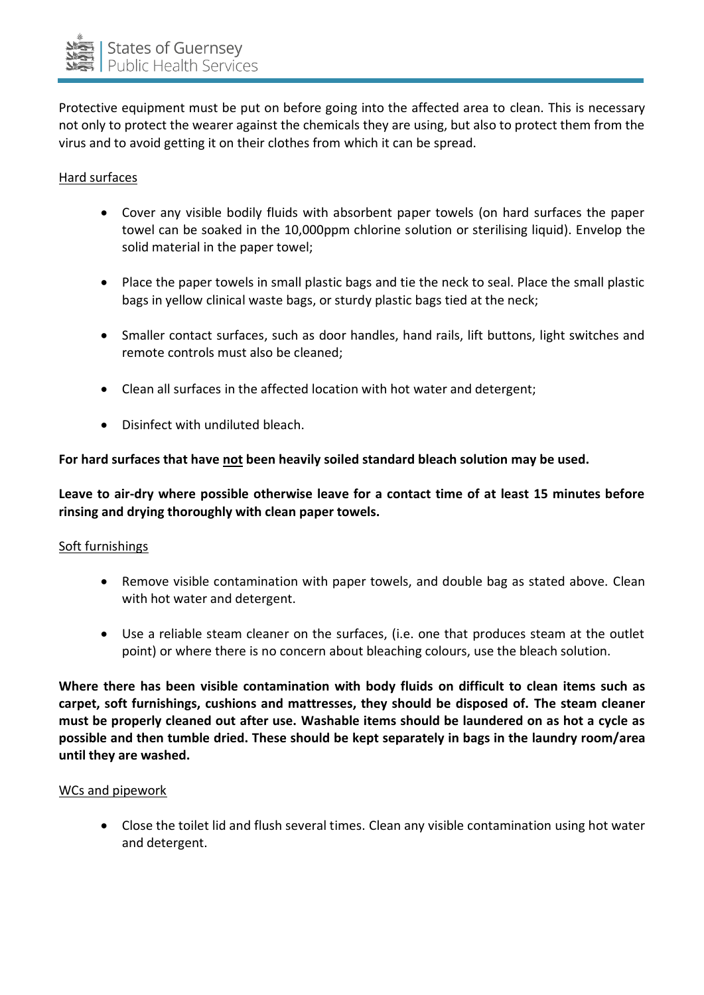

Protective equipment must be put on before going into the affected area to clean. This is necessary not only to protect the wearer against the chemicals they are using, but also to protect them from the virus and to avoid getting it on their clothes from which it can be spread.

#### Hard surfaces

- Cover any visible bodily fluids with absorbent paper towels (on hard surfaces the paper towel can be soaked in the 10,000ppm chlorine solution or sterilising liquid). Envelop the solid material in the paper towel;
- Place the paper towels in small plastic bags and tie the neck to seal. Place the small plastic bags in yellow clinical waste bags, or sturdy plastic bags tied at the neck;
- Smaller contact surfaces, such as door handles, hand rails, lift buttons, light switches and remote controls must also be cleaned;
- Clean all surfaces in the affected location with hot water and detergent;
- Disinfect with undiluted bleach.

## **For hard surfaces that have not been heavily soiled standard bleach solution may be used.**

**Leave to air-dry where possible otherwise leave for a contact time of at least 15 minutes before rinsing and drying thoroughly with clean paper towels.**

#### Soft furnishings

- Remove visible contamination with paper towels, and double bag as stated above. Clean with hot water and detergent.
- Use a reliable steam cleaner on the surfaces, (i.e. one that produces steam at the outlet point) or where there is no concern about bleaching colours, use the bleach solution.

**Where there has been visible contamination with body fluids on difficult to clean items such as carpet, soft furnishings, cushions and mattresses, they should be disposed of. The steam cleaner must be properly cleaned out after use. Washable items should be laundered on as hot a cycle as possible and then tumble dried. These should be kept separately in bags in the laundry room/area until they are washed.**

#### WCs and pipework

 Close the toilet lid and flush several times. Clean any visible contamination using hot water and detergent.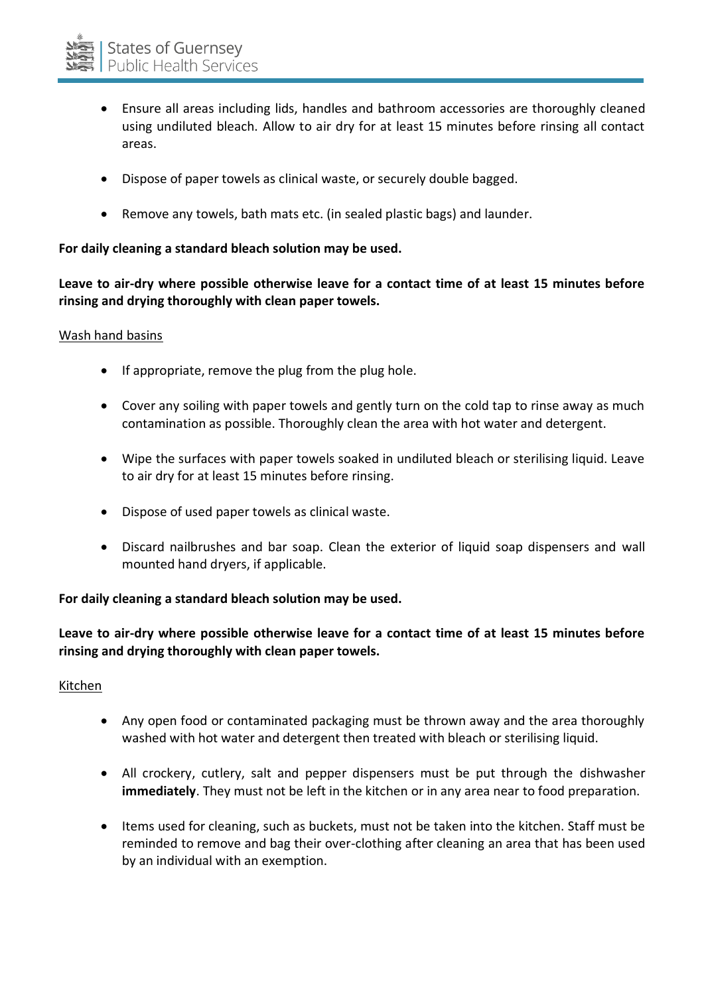- Ensure all areas including lids, handles and bathroom accessories are thoroughly cleaned using undiluted bleach. Allow to air dry for at least 15 minutes before rinsing all contact areas.
- Dispose of paper towels as clinical waste, or securely double bagged.
- Remove any towels, bath mats etc. (in sealed plastic bags) and launder.

## **For daily cleaning a standard bleach solution may be used.**

**Leave to air-dry where possible otherwise leave for a contact time of at least 15 minutes before rinsing and drying thoroughly with clean paper towels.**

#### Wash hand basins

- If appropriate, remove the plug from the plug hole.
- Cover any soiling with paper towels and gently turn on the cold tap to rinse away as much contamination as possible. Thoroughly clean the area with hot water and detergent.
- Wipe the surfaces with paper towels soaked in undiluted bleach or sterilising liquid. Leave to air dry for at least 15 minutes before rinsing.
- Dispose of used paper towels as clinical waste.
- Discard nailbrushes and bar soap. Clean the exterior of liquid soap dispensers and wall mounted hand dryers, if applicable.

# **For daily cleaning a standard bleach solution may be used.**

**Leave to air-dry where possible otherwise leave for a contact time of at least 15 minutes before rinsing and drying thoroughly with clean paper towels.**

#### Kitchen

- Any open food or contaminated packaging must be thrown away and the area thoroughly washed with hot water and detergent then treated with bleach or sterilising liquid.
- All crockery, cutlery, salt and pepper dispensers must be put through the dishwasher **immediately**. They must not be left in the kitchen or in any area near to food preparation.
- Items used for cleaning, such as buckets, must not be taken into the kitchen. Staff must be reminded to remove and bag their over-clothing after cleaning an area that has been used by an individual with an exemption.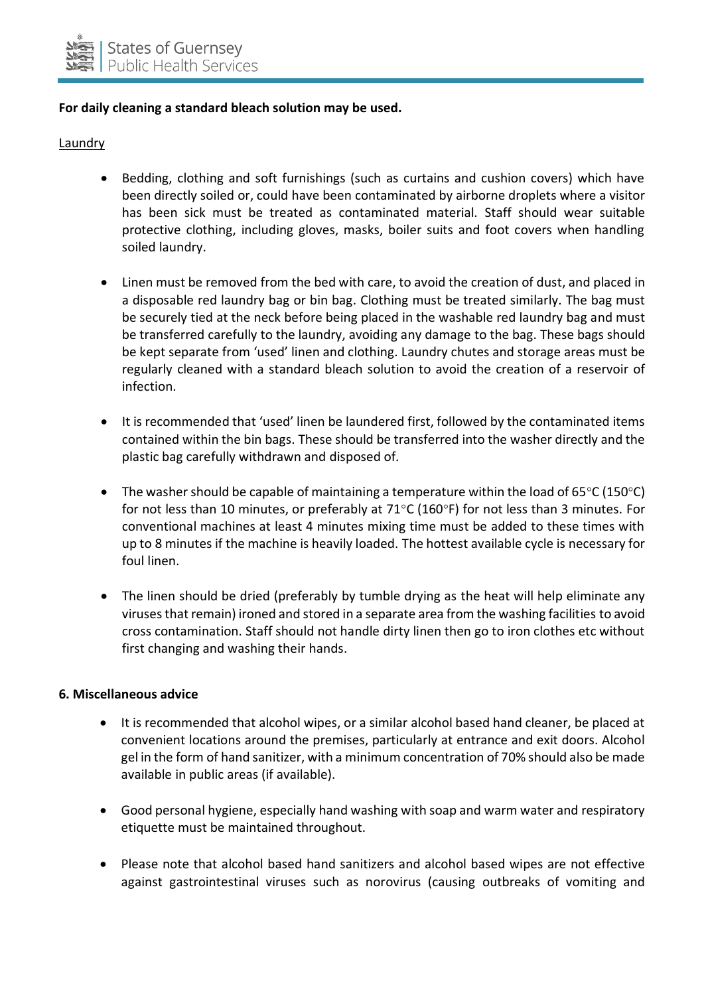

## **For daily cleaning a standard bleach solution may be used.**

**Laundry** 

- Bedding, clothing and soft furnishings (such as curtains and cushion covers) which have been directly soiled or, could have been contaminated by airborne droplets where a visitor has been sick must be treated as contaminated material. Staff should wear suitable protective clothing, including gloves, masks, boiler suits and foot covers when handling soiled laundry.
- Linen must be removed from the bed with care, to avoid the creation of dust, and placed in a disposable red laundry bag or bin bag. Clothing must be treated similarly. The bag must be securely tied at the neck before being placed in the washable red laundry bag and must be transferred carefully to the laundry, avoiding any damage to the bag. These bags should be kept separate from 'used' linen and clothing. Laundry chutes and storage areas must be regularly cleaned with a standard bleach solution to avoid the creation of a reservoir of infection.
- It is recommended that 'used' linen be laundered first, followed by the contaminated items contained within the bin bags. These should be transferred into the washer directly and the plastic bag carefully withdrawn and disposed of.
- The washer should be capable of maintaining a temperature within the load of 65 $\degree$ C (150 $\degree$ C) for not less than 10 minutes, or preferably at  $71^{\circ}$ C (160°F) for not less than 3 minutes. For conventional machines at least 4 minutes mixing time must be added to these times with up to 8 minutes if the machine is heavily loaded. The hottest available cycle is necessary for foul linen.
- The linen should be dried (preferably by tumble drying as the heat will help eliminate any viruses that remain) ironed and stored in a separate area from the washing facilities to avoid cross contamination. Staff should not handle dirty linen then go to iron clothes etc without first changing and washing their hands.

#### **6. Miscellaneous advice**

- It is recommended that alcohol wipes, or a similar alcohol based hand cleaner, be placed at convenient locations around the premises, particularly at entrance and exit doors. Alcohol gel in the form of hand sanitizer, with a minimum concentration of 70% should also be made available in public areas (if available).
- Good personal hygiene, especially hand washing with soap and warm water and respiratory etiquette must be maintained throughout.
- Please note that alcohol based hand sanitizers and alcohol based wipes are not effective against gastrointestinal viruses such as norovirus (causing outbreaks of vomiting and